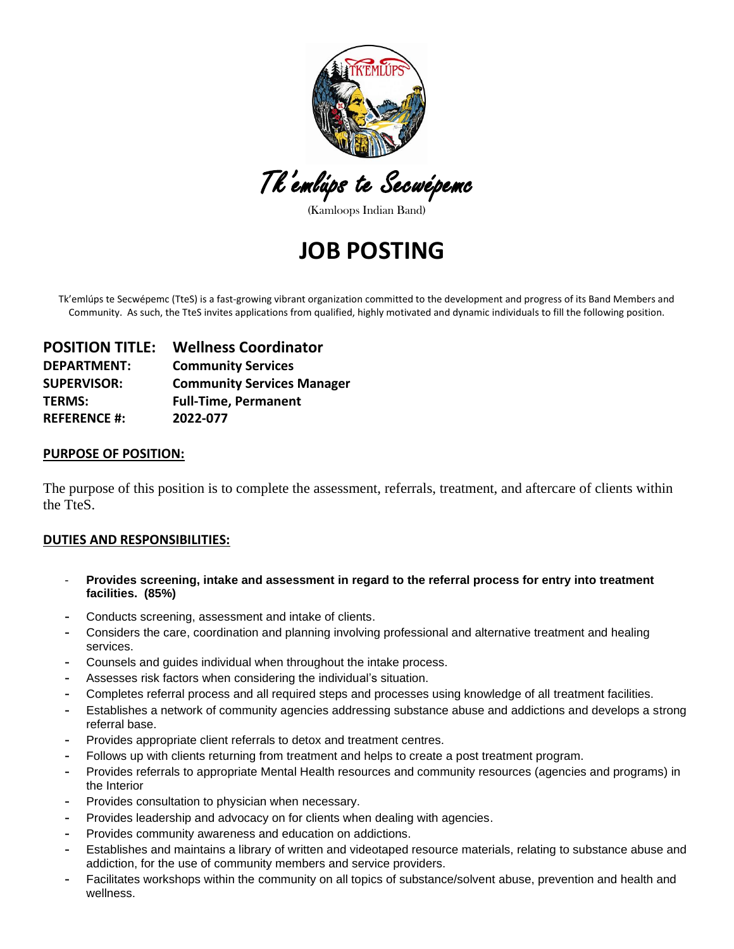

Tk'emlúps te Secwépemc

(Kamloops Indian Band)

# **JOB POSTING**

Tk'emlúps te Secwépemc (TteS) is a fast-growing vibrant organization committed to the development and progress of its Band Members and Community. As such, the TteS invites applications from qualified, highly motivated and dynamic individuals to fill the following position.

| <b>POSITION TITLE:</b> | <b>Wellness Coordinator</b>       |
|------------------------|-----------------------------------|
| <b>DEPARTMENT:</b>     | <b>Community Services</b>         |
| <b>SUPERVISOR:</b>     | <b>Community Services Manager</b> |
| <b>TERMS:</b>          | <b>Full-Time, Permanent</b>       |
| <b>REFERENCE #:</b>    | 2022-077                          |

#### **PURPOSE OF POSITION:**

The purpose of this position is to complete the assessment, referrals, treatment, and aftercare of clients within the TteS.

#### **DUTIES AND RESPONSIBILITIES:**

- **Provides screening, intake and assessment in regard to the referral process for entry into treatment facilities. (85%)**
- **-** Conducts screening, assessment and intake of clients.
- **-** Considers the care, coordination and planning involving professional and alternative treatment and healing services.
- **-** Counsels and guides individual when throughout the intake process.
- **-** Assesses risk factors when considering the individual's situation.
- **-** Completes referral process and all required steps and processes using knowledge of all treatment facilities.
- **-** Establishes a network of community agencies addressing substance abuse and addictions and develops a strong referral base.
- **-** Provides appropriate client referrals to detox and treatment centres.
- **-** Follows up with clients returning from treatment and helps to create a post treatment program.
- **-** Provides referrals to appropriate Mental Health resources and community resources (agencies and programs) in the Interior
- **-** Provides consultation to physician when necessary.
- **-** Provides leadership and advocacy on for clients when dealing with agencies.
- **-** Provides community awareness and education on addictions.
- **-** Establishes and maintains a library of written and videotaped resource materials, relating to substance abuse and addiction, for the use of community members and service providers.
- **-** Facilitates workshops within the community on all topics of substance/solvent abuse, prevention and health and wellness.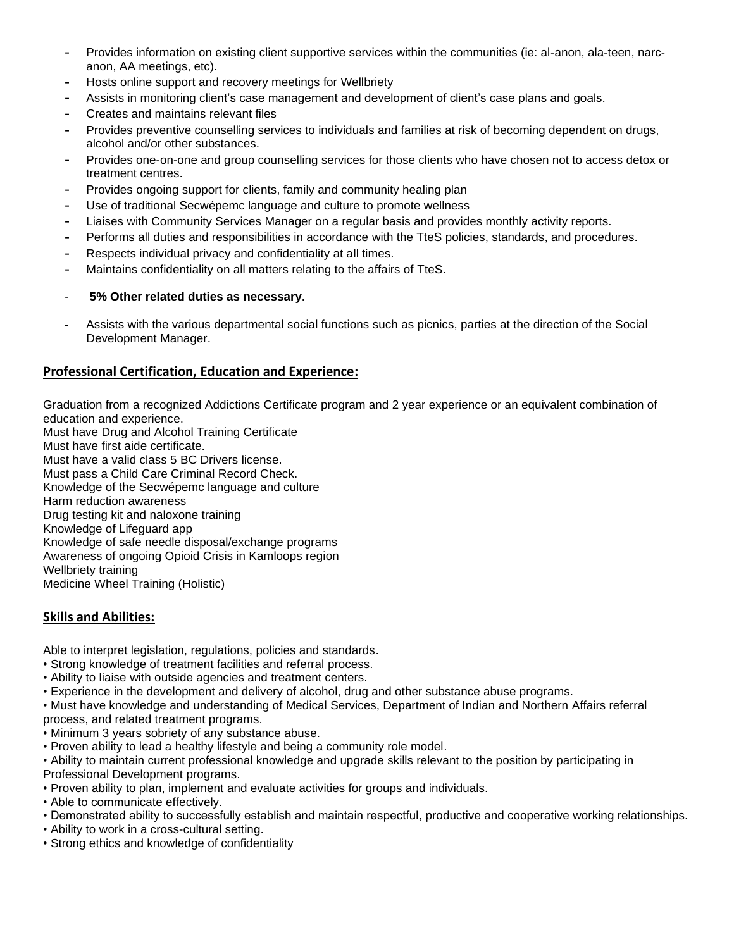- **-** Provides information on existing client supportive services within the communities (ie: al-anon, ala-teen, narcanon, AA meetings, etc).
- **-** Hosts online support and recovery meetings for Wellbriety
- **-** Assists in monitoring client's case management and development of client's case plans and goals.
- **-** Creates and maintains relevant files
- **-** Provides preventive counselling services to individuals and families at risk of becoming dependent on drugs, alcohol and/or other substances.
- **-** Provides one-on-one and group counselling services for those clients who have chosen not to access detox or treatment centres.
- **-** Provides ongoing support for clients, family and community healing plan
- **-** Use of traditional Secwépemc language and culture to promote wellness
- **-** Liaises with Community Services Manager on a regular basis and provides monthly activity reports.
- **-** Performs all duties and responsibilities in accordance with the TteS policies, standards, and procedures.
- **-** Respects individual privacy and confidentiality at all times.
- **-** Maintains confidentiality on all matters relating to the affairs of TteS.
- **5% Other related duties as necessary.**
- Assists with the various departmental social functions such as picnics, parties at the direction of the Social Development Manager.

## **Professional Certification, Education and Experience:**

Graduation from a recognized Addictions Certificate program and 2 year experience or an equivalent combination of education and experience.

Must have Drug and Alcohol Training Certificate Must have first aide certificate. Must have a valid class 5 BC Drivers license. Must pass a Child Care Criminal Record Check. Knowledge of the Secwépemc language and culture Harm reduction awareness Drug testing kit and naloxone training Knowledge of Lifeguard app Knowledge of safe needle disposal/exchange programs Awareness of ongoing Opioid Crisis in Kamloops region Wellbriety training Medicine Wheel Training (Holistic)

## **Skills and Abilities:**

Able to interpret legislation, regulations, policies and standards.

- Strong knowledge of treatment facilities and referral process.
- Ability to liaise with outside agencies and treatment centers.
- Experience in the development and delivery of alcohol, drug and other substance abuse programs.
- Must have knowledge and understanding of Medical Services, Department of Indian and Northern Affairs referral

process, and related treatment programs.

- Minimum 3 years sobriety of any substance abuse.
- Proven ability to lead a healthy lifestyle and being a community role model.
- Ability to maintain current professional knowledge and upgrade skills relevant to the position by participating in Professional Development programs.
- Proven ability to plan, implement and evaluate activities for groups and individuals.
- Able to communicate effectively.
- Demonstrated ability to successfully establish and maintain respectful, productive and cooperative working relationships.
- Ability to work in a cross-cultural setting.
- Strong ethics and knowledge of confidentiality